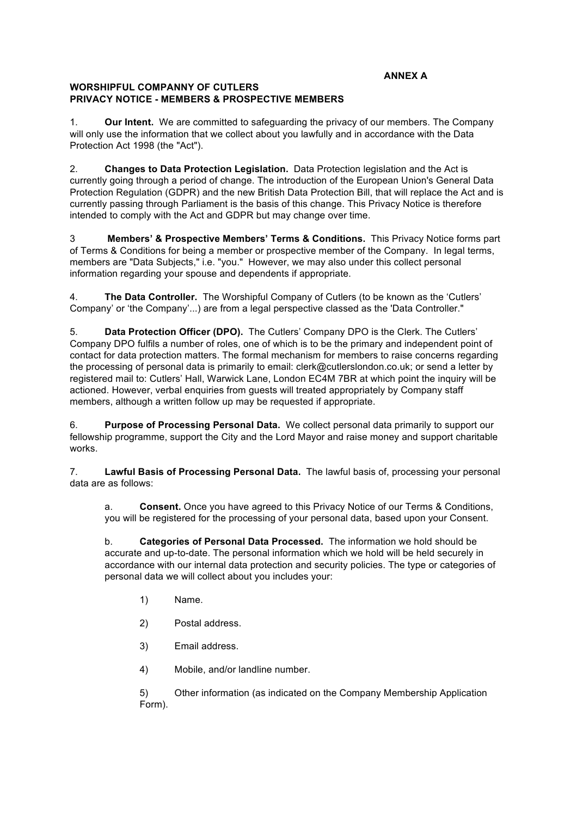## **WORSHIPFUL COMPANNY OF CUTLERS PRIVACY NOTICE - MEMBERS & PROSPECTIVE MEMBERS**

1. **Our Intent.** We are committed to safeguarding the privacy of our members. The Company will only use the information that we collect about you lawfully and in accordance with the Data Protection Act 1998 (the "Act").

2. **Changes to Data Protection Legislation.** Data Protection legislation and the Act is currently going through a period of change. The introduction of the European Union's General Data Protection Regulation (GDPR) and the new British Data Protection Bill, that will replace the Act and is currently passing through Parliament is the basis of this change. This Privacy Notice is therefore intended to comply with the Act and GDPR but may change over time.

3 **Members' & Prospective Members' Terms & Conditions.** This Privacy Notice forms part of Terms & Conditions for being a member or prospective member of the Company. In legal terms, members are "Data Subjects," i.e. "you." However, we may also under this collect personal information regarding your spouse and dependents if appropriate.

4. **The Data Controller.** The Worshipful Company of Cutlers (to be known as the 'Cutlers' Company' or 'the Company'...) are from a legal perspective classed as the 'Data Controller."

5. **Data Protection Officer (DPO).** The Cutlers' Company DPO is the Clerk. The Cutlers' Company DPO fulfils a number of roles, one of which is to be the primary and independent point of contact for data protection matters. The formal mechanism for members to raise concerns regarding the processing of personal data is primarily to email: clerk@cutlerslondon.co.uk; or send a letter by registered mail to: Cutlers' Hall, Warwick Lane, London EC4M 7BR at which point the inquiry will be actioned. However, verbal enquiries from guests will treated appropriately by Company staff members, although a written follow up may be requested if appropriate.

6. **Purpose of Processing Personal Data.** We collect personal data primarily to support our fellowship programme, support the City and the Lord Mayor and raise money and support charitable works.

7. **Lawful Basis of Processing Personal Data.** The lawful basis of, processing your personal data are as follows:

a. **Consent.** Once you have agreed to this Privacy Notice of our Terms & Conditions, you will be registered for the processing of your personal data, based upon your Consent.

b. **Categories of Personal Data Processed.** The information we hold should be accurate and up-to-date. The personal information which we hold will be held securely in accordance with our internal data protection and security policies. The type or categories of personal data we will collect about you includes your:

- 1) Name.
- 2) Postal address.
- 3) Email address.
- 4) Mobile, and/or landline number.

5) Other information (as indicated on the Company Membership Application Form).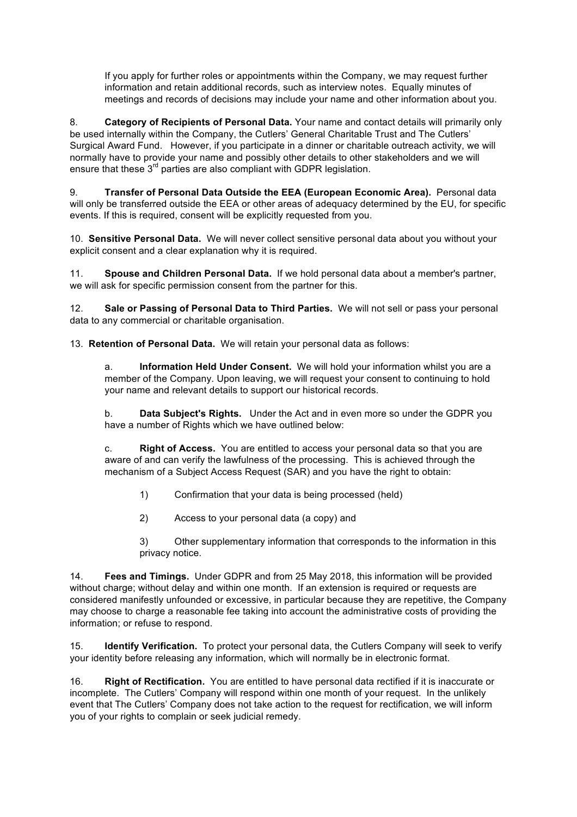If you apply for further roles or appointments within the Company, we may request further information and retain additional records, such as interview notes. Equally minutes of meetings and records of decisions may include your name and other information about you.

8. **Category of Recipients of Personal Data.** Your name and contact details will primarily only be used internally within the Company, the Cutlers' General Charitable Trust and The Cutlers' Surgical Award Fund. However, if you participate in a dinner or charitable outreach activity, we will normally have to provide your name and possibly other details to other stakeholders and we will ensure that these 3<sup>rd</sup> parties are also compliant with GDPR legislation.

9. **Transfer of Personal Data Outside the EEA (European Economic Area).** Personal data will only be transferred outside the EEA or other areas of adequacy determined by the EU, for specific events. If this is required, consent will be explicitly requested from you.

10. **Sensitive Personal Data.** We will never collect sensitive personal data about you without your explicit consent and a clear explanation why it is required.

11. **Spouse and Children Personal Data.** If we hold personal data about a member's partner, we will ask for specific permission consent from the partner for this.

12. **Sale or Passing of Personal Data to Third Parties.** We will not sell or pass your personal data to any commercial or charitable organisation.

13. **Retention of Personal Data.** We will retain your personal data as follows:

a. **Information Held Under Consent.** We will hold your information whilst you are a member of the Company. Upon leaving, we will request your consent to continuing to hold your name and relevant details to support our historical records.

b. **Data Subject's Rights.** Under the Act and in even more so under the GDPR you have a number of Rights which we have outlined below:

c. **Right of Access.** You are entitled to access your personal data so that you are aware of and can verify the lawfulness of the processing. This is achieved through the mechanism of a Subject Access Request (SAR) and you have the right to obtain:

- 1) Confirmation that your data is being processed (held)
- 2) Access to your personal data (a copy) and

3) Other supplementary information that corresponds to the information in this privacy notice.

14. **Fees and Timings.** Under GDPR and from 25 May 2018, this information will be provided without charge; without delay and within one month. If an extension is required or requests are considered manifestly unfounded or excessive, in particular because they are repetitive, the Company may choose to charge a reasonable fee taking into account the administrative costs of providing the information; or refuse to respond.

15. **Identify Verification.** To protect your personal data, the Cutlers Company will seek to verify your identity before releasing any information, which will normally be in electronic format.

16. **Right of Rectification.** You are entitled to have personal data rectified if it is inaccurate or incomplete. The Cutlers' Company will respond within one month of your request. In the unlikely event that The Cutlers' Company does not take action to the request for rectification, we will inform you of your rights to complain or seek judicial remedy.